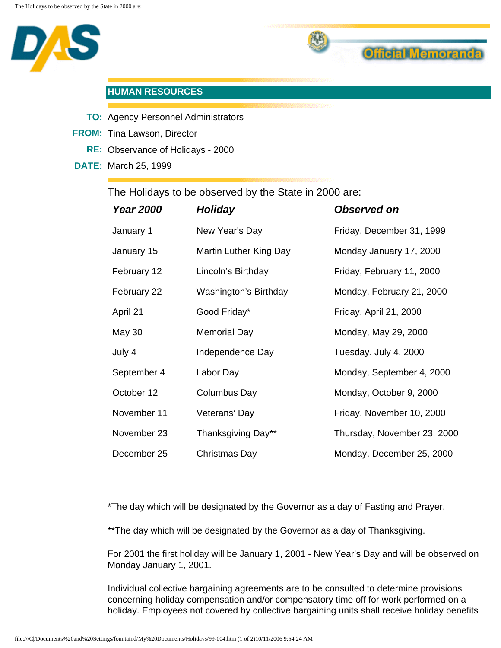



## **HUMAN RESOURCES**

- **TO:** Agency Personnel Administrators
- **FROM:** Tina Lawson, Director
	- **RE:** Observance of Holidays 2000
- **DATE:** March 25, 1999

The Holidays to be observed by the State in 2000 are:

| <b>Year 2000</b> | <b>Holiday</b>               | <b>Observed on</b>          |
|------------------|------------------------------|-----------------------------|
| January 1        | New Year's Day               | Friday, December 31, 1999   |
| January 15       | Martin Luther King Day       | Monday January 17, 2000     |
| February 12      | Lincoln's Birthday           | Friday, February 11, 2000   |
| February 22      | <b>Washington's Birthday</b> | Monday, February 21, 2000   |
| April 21         | Good Friday*                 | Friday, April 21, 2000      |
| May 30           | <b>Memorial Day</b>          | Monday, May 29, 2000        |
| July 4           | Independence Day             | Tuesday, July 4, 2000       |
| September 4      | Labor Day                    | Monday, September 4, 2000   |
| October 12       | Columbus Day                 | Monday, October 9, 2000     |
| November 11      | Veterans' Day                | Friday, November 10, 2000   |
| November 23      | Thanksgiving Day**           | Thursday, November 23, 2000 |
| December 25      | Christmas Day                | Monday, December 25, 2000   |

\*The day which will be designated by the Governor as a day of Fasting and Prayer.

\*\* The day which will be designated by the Governor as a day of Thanksgiving.

For 2001 the first holiday will be January 1, 2001 - New Year's Day and will be observed on Monday January 1, 2001.

Individual collective bargaining agreements are to be consulted to determine provisions concerning holiday compensation and/or compensatory time off for work performed on a holiday. Employees not covered by collective bargaining units shall receive holiday benefits